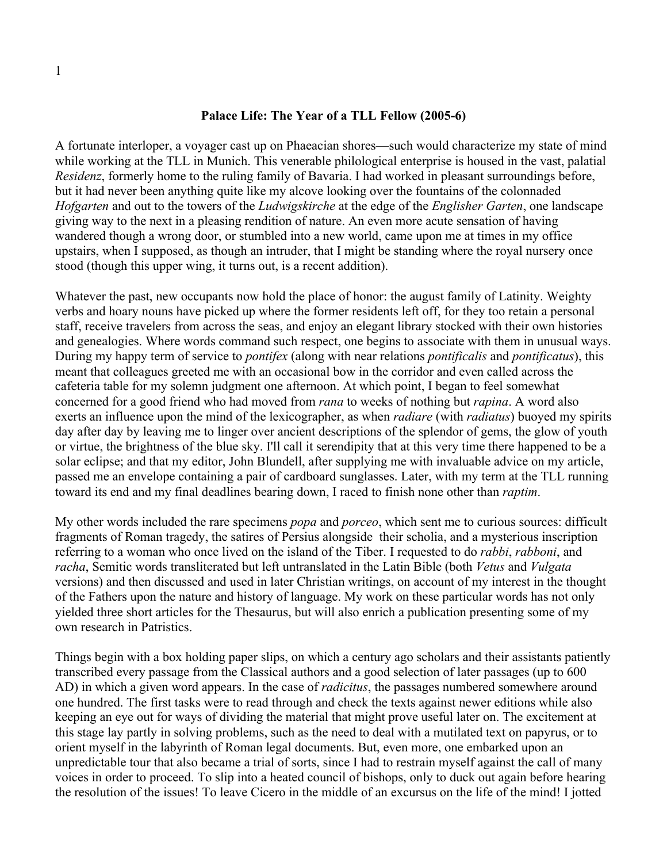## **Palace Life: The Year of a TLL Fellow (2005-6)**

A fortunate interloper, a voyager cast up on Phaeacian shores—such would characterize my state of mind while working at the TLL in Munich. This venerable philological enterprise is housed in the vast, palatial *Residenz*, formerly home to the ruling family of Bavaria. I had worked in pleasant surroundings before, but it had never been anything quite like my alcove looking over the fountains of the colonnaded *Hofgarten* and out to the towers of the *Ludwigskirche* at the edge of the *Englisher Garten*, one landscape giving way to the next in a pleasing rendition of nature. An even more acute sensation of having wandered though a wrong door, or stumbled into a new world, came upon me at times in my office upstairs, when I supposed, as though an intruder, that I might be standing where the royal nursery once stood (though this upper wing, it turns out, is a recent addition).

Whatever the past, new occupants now hold the place of honor: the august family of Latinity. Weighty verbs and hoary nouns have picked up where the former residents left off, for they too retain a personal staff, receive travelers from across the seas, and enjoy an elegant library stocked with their own histories and genealogies. Where words command such respect, one begins to associate with them in unusual ways. During my happy term of service to *pontifex* (along with near relations *pontificalis* and *pontificatus*), this meant that colleagues greeted me with an occasional bow in the corridor and even called across the cafeteria table for my solemn judgment one afternoon. At which point, I began to feel somewhat concerned for a good friend who had moved from *rana* to weeks of nothing but *rapina*. A word also exerts an influence upon the mind of the lexicographer, as when *radiare* (with *radiatus*) buoyed my spirits day after day by leaving me to linger over ancient descriptions of the splendor of gems, the glow of youth or virtue, the brightness of the blue sky. I'll call it serendipity that at this very time there happened to be a solar eclipse; and that my editor, John Blundell, after supplying me with invaluable advice on my article, passed me an envelope containing a pair of cardboard sunglasses. Later, with my term at the TLL running toward its end and my final deadlines bearing down, I raced to finish none other than *raptim*.

My other words included the rare specimens *popa* and *porceo*, which sent me to curious sources: difficult fragments of Roman tragedy, the satires of Persius alongside their scholia, and a mysterious inscription referring to a woman who once lived on the island of the Tiber. I requested to do *rabbi*, *rabboni*, and *racha*, Semitic words transliterated but left untranslated in the Latin Bible (both *Vetus* and *Vulgata* versions) and then discussed and used in later Christian writings, on account of my interest in the thought of the Fathers upon the nature and history of language. My work on these particular words has not only yielded three short articles for the Thesaurus, but will also enrich a publication presenting some of my own research in Patristics.

Things begin with a box holding paper slips, on which a century ago scholars and their assistants patiently transcribed every passage from the Classical authors and a good selection of later passages (up to 600 AD) in which a given word appears. In the case of *radicitus*, the passages numbered somewhere around one hundred. The first tasks were to read through and check the texts against newer editions while also keeping an eye out for ways of dividing the material that might prove useful later on. The excitement at this stage lay partly in solving problems, such as the need to deal with a mutilated text on papyrus, or to orient myself in the labyrinth of Roman legal documents. But, even more, one embarked upon an unpredictable tour that also became a trial of sorts, since I had to restrain myself against the call of many voices in order to proceed. To slip into a heated council of bishops, only to duck out again before hearing the resolution of the issues! To leave Cicero in the middle of an excursus on the life of the mind! I jotted